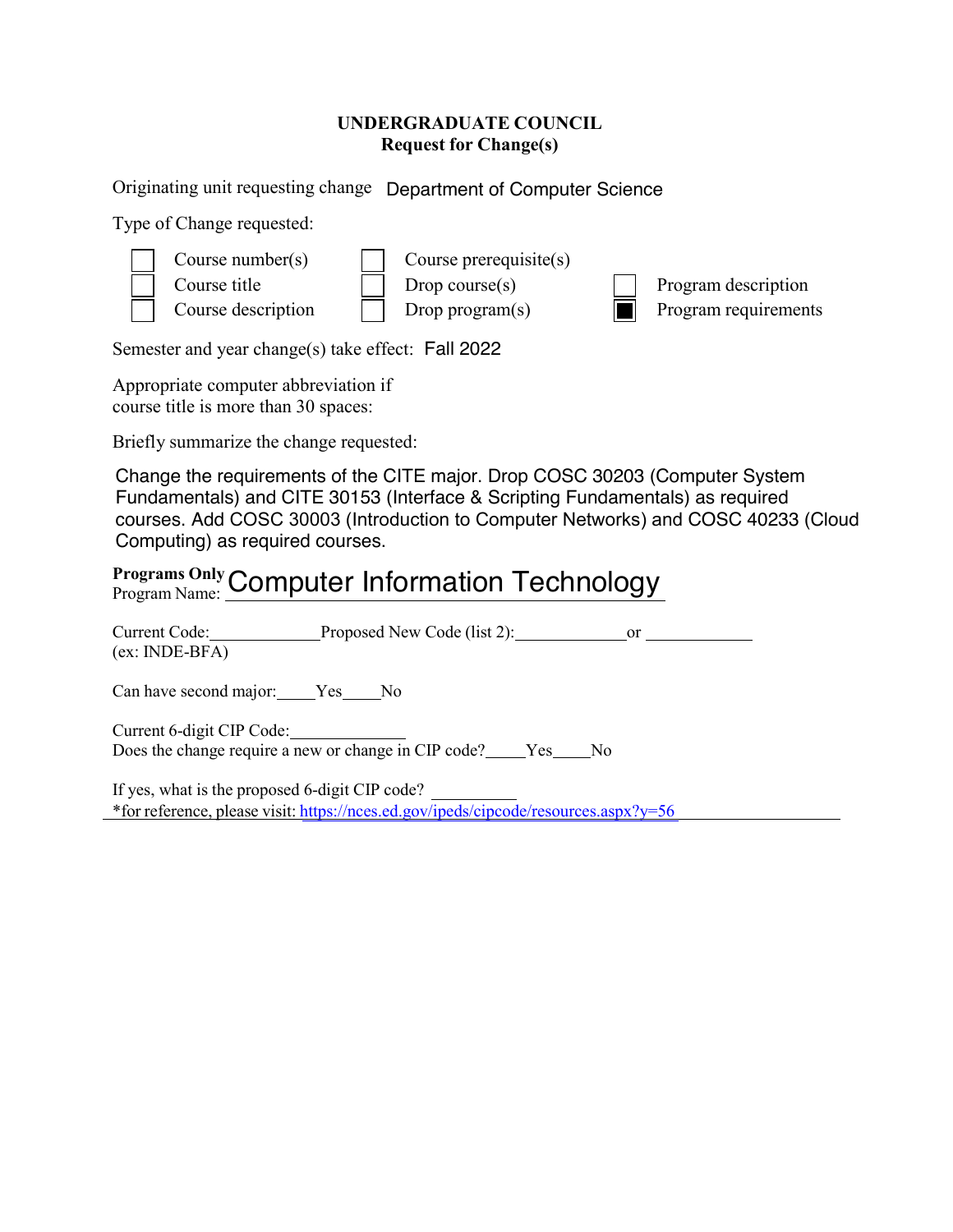## **UNDERGRADUATE COUNCIL Request for Change(s)**

Originating unit requesting change Department of Computer Science

Type of Change requested:



Semester and year change(s) take effect: Fall 2022

Appropriate computer abbreviation if course title is more than 30 spaces:

Briefly summarize the change requested:

Change the requirements of the CITE major. Drop COSC 30203 (Computer System Fundamentals) and CITE 30153 (Interface & Scripting Fundamentals) as required courses. Add COSC 30003 (Introduction to Computer Networks) and COSC 40233 (Cloud Computing) as required courses.

## **Programs Only** Programs Only Computer Information Technology

| Current Code: Proposed New Code (list 2): or<br>$(ex: INDE-BFA)$                         |
|------------------------------------------------------------------------------------------|
| Can have second major: Yes No                                                            |
| Current 6-digit CIP Code:<br>Does the change require a new or change in CIP code? Yes No |
| If yes, what is the proposed 6-digit CIP code?                                           |
| *for reference, please visit: https://nces.ed.gov/ipeds/cipcode/resources.aspx?y=56      |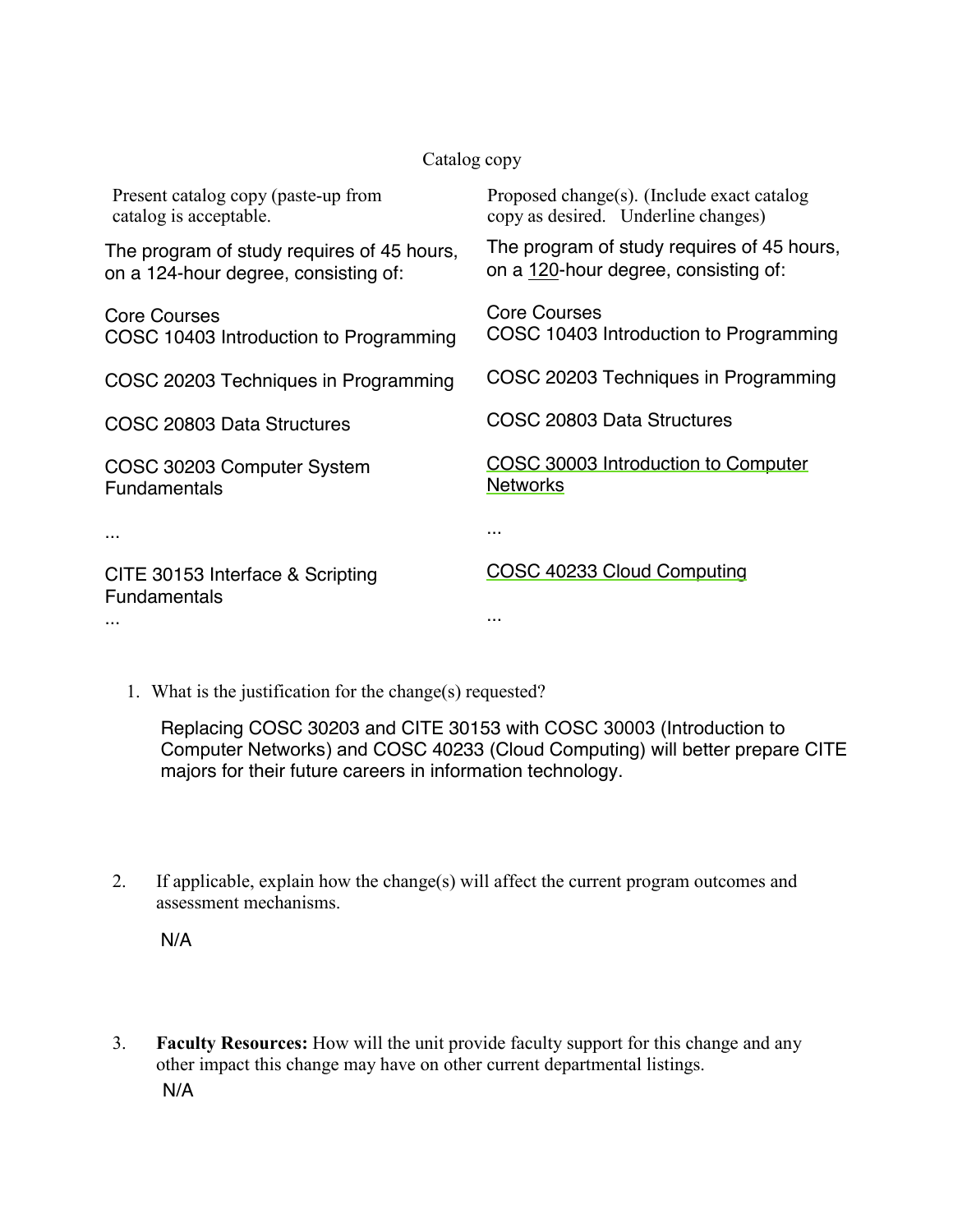## Catalog copy

| Present catalog copy (paste-up from<br>catalog is acceptable.                      | Proposed change(s). (Include exact catalog<br>copy as desired. Underline changes)  |
|------------------------------------------------------------------------------------|------------------------------------------------------------------------------------|
| The program of study requires of 45 hours,<br>on a 124-hour degree, consisting of: | The program of study requires of 45 hours,<br>on a 120-hour degree, consisting of: |
| <b>Core Courses</b><br>COSC 10403 Introduction to Programming                      | Core Courses<br>COSC 10403 Introduction to Programming                             |
| COSC 20203 Techniques in Programming                                               | COSC 20203 Techniques in Programming                                               |
| COSC 20803 Data Structures                                                         | COSC 20803 Data Structures                                                         |
| COSC 30203 Computer System<br><b>Fundamentals</b>                                  | COSC 30003 Introduction to Computer<br><b>Networks</b>                             |
| .                                                                                  |                                                                                    |
| CITE 30153 Interface & Scripting<br><b>Fundamentals</b>                            | COSC 40233 Cloud Computing                                                         |
|                                                                                    | .                                                                                  |

1. What is the justification for the change(s) requested?

Replacing COSC 30203 and CITE 30153 with COSC 30003 (Introduction to Computer Networks) and COSC 40233 (Cloud Computing) will better prepare CITE majors for their future careers in information technology.

2. If applicable, explain how the change(s) will affect the current program outcomes and assessment mechanisms.

N/A

3. **Faculty Resources:** How will the unit provide faculty support for this change and any other impact this change may have on other current departmental listings. N/A